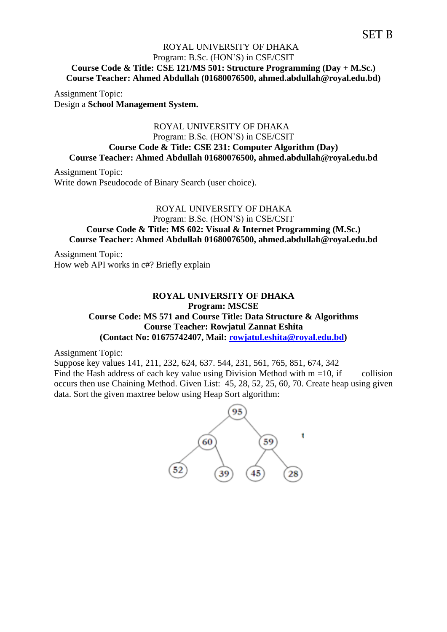# SET B

## ROYAL UNIVERSITY OF DHAKA Program: B.Sc. (HON'S) in CSE/CSIT **Course Code & Title: CSE 121/MS 501: Structure Programming (Day + M.Sc.) Course Teacher: Ahmed Abdullah (01680076500, ahmed.abdullah@royal.edu.bd)**

Assignment Topic: Design a **School Management System.**

## ROYAL UNIVERSITY OF DHAKA Program: B.Sc. (HON'S) in CSE/CSIT **Course Code & Title: CSE 231: Computer Algorithm (Day) Course Teacher: Ahmed Abdullah 01680076500, ahmed.abdullah@royal.edu.bd**

Assignment Topic: Write down Pseudocode of Binary Search (user choice).

#### ROYAL UNIVERSITY OF DHAKA

Program: B.Sc. (HON'S) in CSE/CSIT

## **Course Code & Title: MS 602: Visual & Internet Programming (M.Sc.) Course Teacher: Ahmed Abdullah 01680076500, ahmed.abdullah@royal.edu.bd**

Assignment Topic: How web API works in c#? Briefly explain

## **ROYAL UNIVERSITY OF DHAKA Program: MSCSE Course Code: MS 571 and Course Title: Data Structure & Algorithms Course Teacher: Rowjatul Zannat Eshita (Contact No: 01675742407, Mail: [rowjatul.eshita@royal.edu.bd\)](mailto:rowjatul.eshita@royal.edu.bd)**

Assignment Topic:

Suppose key values 141, 211, 232, 624, 637. 544, 231, 561, 765, 851, 674, 342 Find the Hash address of each key value using Division Method with  $m = 10$ , if collision occurs then use Chaining Method. Given List: 45, 28, 52, 25, 60, 70. Create heap using given data. Sort the given maxtree below using Heap Sort algorithm:

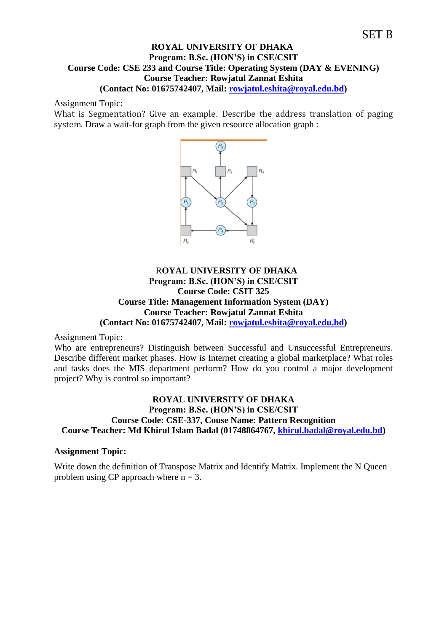#### **ROYAL UNIVERSITY OF DHAKA Program: B.Sc. (HON'S) in CSE/CSIT Course Code: CSE 233 and Course Title: Operating System (DAY & EVENING) Course Teacher: Rowjatul Zannat Eshita (Contact No: 01675742407, Mail: [rowjatul.eshita@royal.edu.bd\)](mailto:rowjatul.eshita@royal.edu.bd)**

Assignment Topic:

What is Segmentation? Give an example. Describe the address translation of paging system. Draw a wait-for graph from the given resource allocation graph :



## R**OYAL UNIVERSITY OF DHAKA Program: B.Sc. (HON'S) in CSE/CSIT Course Code: CSIT 325 Course Title: Management Information System (DAY) Course Teacher: Rowjatul Zannat Eshita (Contact No: 01675742407, Mail: [rowjatul.eshita@royal.edu.bd\)](mailto:rowjatul.eshita@royal.edu.bd)**

Assignment Topic:

Who are entrepreneurs? Distinguish between Successful and Unsuccessful Entrepreneurs. Describe different market phases. How is Internet creating a global marketplace? What roles and tasks does the MIS department perform? How do you control a major development project? Why is control so important?

## **ROYAL UNIVERSITY OF DHAKA Program: B.Sc. (HON'S) in CSE/CSIT Course Code: CSE-337, Couse Name: Pattern Recognition Course Teacher: Md Khirul Islam Badal (01748864767, [khirul.badal@royal.edu.bd\)](mailto:khirul.badal@royal.edu.bd)**

## **Assignment Topic:**

Write down the definition of Transpose Matrix and Identify Matrix. Implement the N Queen problem using CP approach where  $n = 3$ .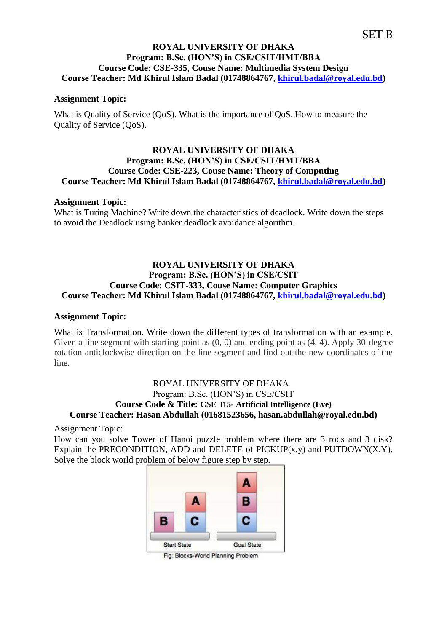# SET B

## **ROYAL UNIVERSITY OF DHAKA Program: B.Sc. (HON'S) in CSE/CSIT/HMT/BBA Course Code: CSE-335, Couse Name: Multimedia System Design Course Teacher: Md Khirul Islam Badal (01748864767, [khirul.badal@royal.edu.bd\)](mailto:khirul.badal@royal.edu.bd)**

#### **Assignment Topic:**

What is Quality of Service (QoS). What is the importance of QoS. How to measure the Quality of Service (QoS).

#### **ROYAL UNIVERSITY OF DHAKA Program: B.Sc. (HON'S) in CSE/CSIT/HMT/BBA Course Code: CSE-223, Couse Name: Theory of Computing Course Teacher: Md Khirul Islam Badal (01748864767, [khirul.badal@royal.edu.bd\)](mailto:khirul.badal@royal.edu.bd)**

#### **Assignment Topic:**

What is Turing Machine? Write down the characteristics of deadlock. Write down the steps to avoid the Deadlock using banker deadlock avoidance algorithm.

## **ROYAL UNIVERSITY OF DHAKA Program: B.Sc. (HON'S) in CSE/CSIT Course Code: CSIT-333, Couse Name: Computer Graphics Course Teacher: Md Khirul Islam Badal (01748864767, [khirul.badal@royal.edu.bd\)](mailto:khirul.badal@royal.edu.bd)**

#### **Assignment Topic:**

What is Transformation. Write down the different types of transformation with an example. Given a line segment with starting point as  $(0, 0)$  and ending point as  $(4, 4)$ . Apply 30-degree rotation anticlockwise direction on the line segment and find out the new coordinates of the line.

## ROYAL UNIVERSITY OF DHAKA Program: B.Sc. (HON'S) in CSE/CSIT **Course Code & Title: CSE 315- Artificial Intelligence (Eve) Course Teacher: Hasan Abdullah (01681523656, hasan.abdullah@royal.edu.bd)**

Assignment Topic:

How can you solve Tower of Hanoi puzzle problem where there are 3 rods and 3 disk? Explain the PRECONDITION, ADD and DELETE of PICKUP $(x,y)$  and PUTDOWN $(X,Y)$ . Solve the block world problem of below figure step by step.



Fig: Blocks-World Planning Problem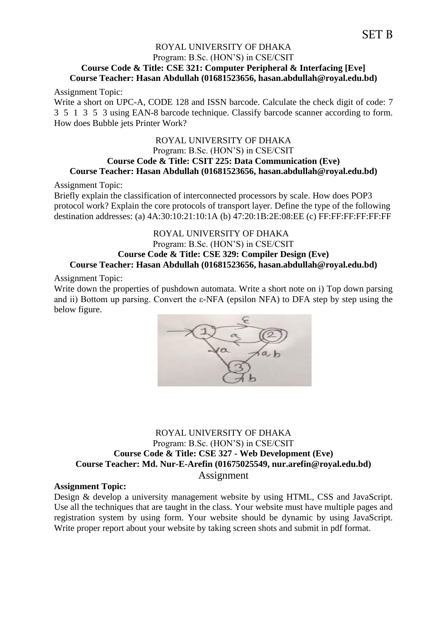# SET B

## ROYAL UNIVERSITY OF DHAKA Program: B.Sc. (HON'S) in CSE/CSIT **Course Code & Title: CSE 321: Computer Peripheral & Interfacing [Eve] Course Teacher: Hasan Abdullah (01681523656, hasan.abdullah@royal.edu.bd)**

Assignment Topic:

Write a short on UPC-A, CODE 128 and ISSN barcode. Calculate the check digit of code: 7 3 5 1 3 5 3 using EAN-8 barcode technique. Classify barcode scanner according to form. How does Bubble jets Printer Work?

## ROYAL UNIVERSITY OF DHAKA Program: B.Sc. (HON'S) in CSE/CSIT **Course Code & Title: CSIT 225: Data Communication (Eve) Course Teacher: Hasan Abdullah (01681523656, hasan.abdullah@royal.edu.bd)**

Assignment Topic:

Briefly explain the classification of interconnected processors by scale. How does POP3 protocol work? Explain the core protocols of transport layer. Define the type of the following destination addresses: (a) 4A:30:10:21:10:1A (b) 47:20:1B:2E:08:EE (c) FF:FF:FF:FF:FF:FF

## ROYAL UNIVERSITY OF DHAKA Program: B.Sc. (HON'S) in CSE/CSIT **Course Code & Title: CSE 329: Compiler Design (Eve) Course Teacher: Hasan Abdullah (01681523656, hasan.abdullah@royal.edu.bd)**

Assignment Topic:

Write down the properties of pushdown automata. Write a short note on i) Top down parsing and ii) Bottom up parsing. Convert the  $\varepsilon$ -NFA (epsilon NFA) to DFA step by step using the below figure.



## ROYAL UNIVERSITY OF DHAKA Program: B.Sc. (HON'S) in CSE/CSIT **Course Code & Title: CSE 327 - Web Development (Eve) Course Teacher: Md. Nur-E-Arefin (01675025549, nur.arefin@royal.edu.bd)** Assignment

## **Assignment Topic:**

Design & develop a university management website by using HTML, CSS and JavaScript. Use all the techniques that are taught in the class. Your website must have multiple pages and registration system by using form. Your website should be dynamic by using JavaScript. Write proper report about your website by taking screen shots and submit in pdf format.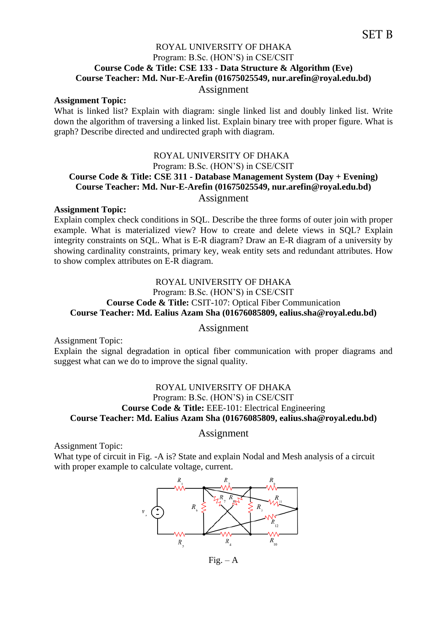## ROYAL UNIVERSITY OF DHAKA Program: B.Sc. (HON'S) in CSE/CSIT **Course Code & Title: CSE 133 - Data Structure & Algorithm (Eve) Course Teacher: Md. Nur-E-Arefin (01675025549, nur.arefin@royal.edu.bd)**

## Assignment

#### **Assignment Topic:**

What is linked list? Explain with diagram: single linked list and doubly linked list. Write down the algorithm of traversing a linked list. Explain binary tree with proper figure. What is graph? Describe directed and undirected graph with diagram.

## ROYAL UNIVERSITY OF DHAKA Program: B.Sc. (HON'S) in CSE/CSIT **Course Code & Title: CSE 311 - Database Management System (Day + Evening) Course Teacher: Md. Nur-E-Arefin (01675025549, nur.arefin@royal.edu.bd)** Assignment

#### **Assignment Topic:**

Explain complex check conditions in SQL. Describe the three forms of outer join with proper example. What is materialized view? How to create and delete views in SQL? Explain integrity constraints on SQL. What is E-R diagram? Draw an E-R diagram of a university by showing cardinality constraints, primary key, weak entity sets and redundant attributes. How to show complex attributes on E-R diagram.

## ROYAL UNIVERSITY OF DHAKA Program: B.Sc. (HON'S) in CSE/CSIT **Course Code & Title:** CSIT-107: Optical Fiber Communication **Course Teacher: Md. Ealius Azam Sha (01676085809, ealius.sha@royal.edu.bd)**

#### Assignment

Assignment Topic:

Explain the signal degradation in optical fiber communication with proper diagrams and suggest what can we do to improve the signal quality.

## ROYAL UNIVERSITY OF DHAKA Program: B.Sc. (HON'S) in CSE/CSIT **Course Code & Title:** EEE-101: Electrical Engineering **Course Teacher: Md. Ealius Azam Sha (01676085809, ealius.sha@royal.edu.bd)**

#### Assignment

Assignment Topic:

What type of circuit in Fig. -A is? State and explain Nodal and Mesh analysis of a circuit with proper example to calculate voltage, current.



 $Fig. - A$